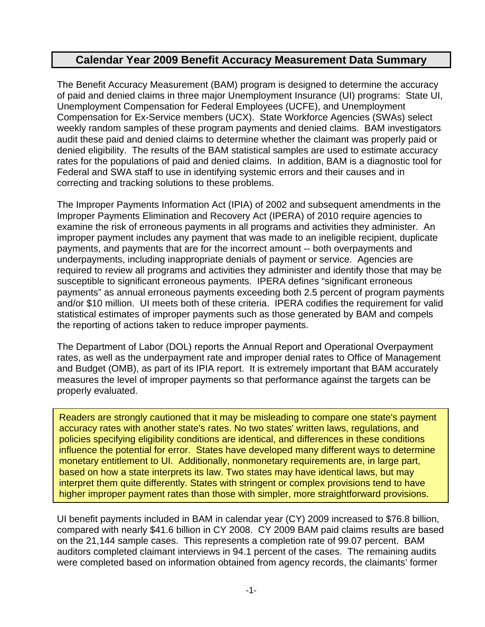# **Calendar Year 2009 Benefit Accuracy Measurement Data Summary**

The Benefit Accuracy Measurement (BAM) program is designed to determine the accuracy of paid and denied claims in three major Unemployment Insurance (UI) programs: State UI, Unemployment Compensation for Federal Employees (UCFE), and Unemployment Compensation for Ex-Service members (UCX). State Workforce Agencies (SWAs) select weekly random samples of these program payments and denied claims. BAM investigators audit these paid and denied claims to determine whether the claimant was properly paid or denied eligibility. The results of the BAM statistical samples are used to estimate accuracy rates for the populations of paid and denied claims. In addition, BAM is a diagnostic tool for Federal and SWA staff to use in identifying systemic errors and their causes and in correcting and tracking solutions to these problems.

The Improper Payments Information Act (IPIA) of 2002 and subsequent amendments in the Improper Payments Elimination and Recovery Act (IPERA) of 2010 require agencies to examine the risk of erroneous payments in all programs and activities they administer. An improper payment includes any payment that was made to an ineligible recipient, duplicate payments, and payments that are for the incorrect amount -- both overpayments and underpayments, including inappropriate denials of payment or service. Agencies are required to review all programs and activities they administer and identify those that may be susceptible to significant erroneous payments. IPERA defines "significant erroneous payments" as annual erroneous payments exceeding both 2.5 percent of program payments and/or \$10 million. UI meets both of these criteria. IPERA codifies the requirement for valid statistical estimates of improper payments such as those generated by BAM and compels the reporting of actions taken to reduce improper payments.

The Department of Labor (DOL) reports the Annual Report and Operational Overpayment rates, as well as the underpayment rate and improper denial rates to Office of Management and Budget (OMB), as part of its IPIA report. It is extremely important that BAM accurately measures the level of improper payments so that performance against the targets can be properly evaluated.

Readers are strongly cautioned that it may be misleading to compare one state's payment accuracy rates with another state's rates. No two states' written laws, regulations, and policies specifying eligibility conditions are identical, and differences in these conditions influence the potential for error. States have developed many different ways to determine monetary entitlement to UI. Additionally, nonmonetary requirements are, in large part, based on how a state interprets its law. Two states may have identical laws, but may interpret them quite differently. States with stringent or complex provisions tend to have higher improper payment rates than those with simpler, more straightforward provisions.

UI benefit payments included in BAM in calendar year (CY) 2009 increased to \$76.8 billion, compared with nearly \$41.6 billion in CY 2008. CY 2009 BAM paid claims results are based on the 21,144 sample cases. This represents a completion rate of 99.07 percent. BAM auditors completed claimant interviews in 94.1 percent of the cases. The remaining audits were completed based on information obtained from agency records, the claimants' former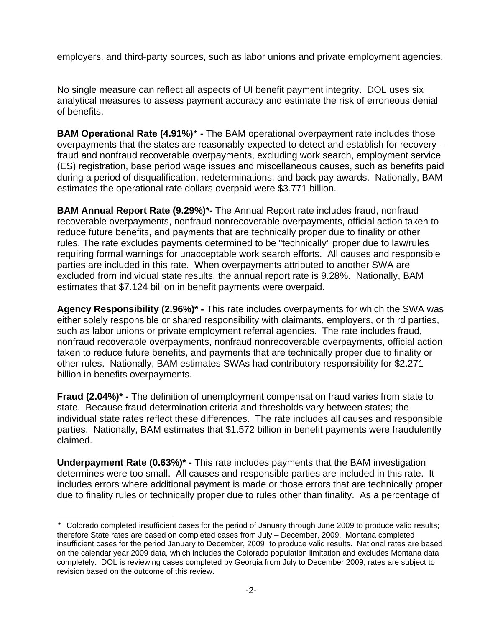employers, and third-party sources, such as labor unions and private employment agencies.

No single measure can reflect all aspects of UI benefit payment integrity. DOL uses six analytical measures to assess payment accuracy and estimate the risk of erroneous denial of benefits.

**BAM Operational Rate (4.91%)**[\\*](#page-1-0) **-** The BAM operational overpayment rate includes those overpayments that the states are reasonably expected to detect and establish for recovery - fraud and nonfraud recoverable overpayments, excluding work search, employment service (ES) registration, base period wage issues and miscellaneous causes, such as benefits paid during a period of disqualification, redeterminations, and back pay awards. Nationally, BAM estimates the operational rate dollars overpaid were \$3.771 billion.

**BAM Annual Report Rate (9.29%)\*-** The Annual Report rate includes fraud, nonfraud recoverable overpayments, nonfraud nonrecoverable overpayments, official action taken to reduce future benefits, and payments that are technically proper due to finality or other rules. The rate excludes payments determined to be "technically" proper due to law/rules requiring formal warnings for unacceptable work search efforts. All causes and responsible parties are included in this rate. When overpayments attributed to another SWA are excluded from individual state results, the annual report rate is 9.28%. Nationally, BAM estimates that \$7.124 billion in benefit payments were overpaid.

**Agency Responsibility (2.96%)\* -** This rate includes overpayments for which the SWA was either solely responsible or shared responsibility with claimants, employers, or third parties, such as labor unions or private employment referral agencies. The rate includes fraud, nonfraud recoverable overpayments, nonfraud nonrecoverable overpayments, official action taken to reduce future benefits, and payments that are technically proper due to finality or other rules. Nationally, BAM estimates SWAs had contributory responsibility for \$2.271 billion in benefits overpayments.

**Fraud (2.04%)\* -** The definition of unemployment compensation fraud varies from state to state. Because fraud determination criteria and thresholds vary between states; the individual state rates reflect these differences. The rate includes all causes and responsible parties. Nationally, BAM estimates that \$1.572 billion in benefit payments were fraudulently claimed.

**Underpayment Rate (0.63%)\* -** This rate includes payments that the BAM investigation determines were too small. All causes and responsible parties are included in this rate. It includes errors where additional payment is made or those errors that are technically proper due to finality rules or technically proper due to rules other than finality. As a percentage of

<span id="page-1-0"></span> $\overline{\phantom{0}}$ \* Colorado completed insufficient cases for the period of January through June 2009 to produce valid results; therefore State rates are based on completed cases from July – December, 2009. Montana completed insufficient cases for the period January to December, 2009 to produce valid results. National rates are based on the calendar year 2009 data, which includes the Colorado population limitation and excludes Montana data completely. DOL is reviewing cases completed by Georgia from July to December 2009; rates are subject to revision based on the outcome of this review.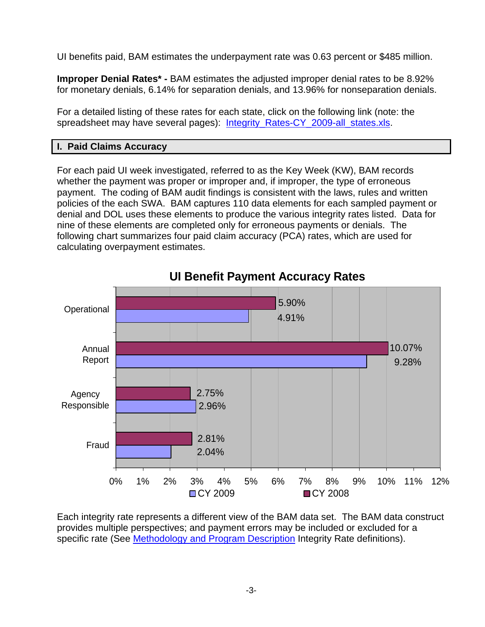UI benefits paid, BAM estimates the underpayment rate was 0.63 percent or \$485 million.

**Improper Denial Rates\* -** BAM estimates the adjusted improper denial rates to be 8.92% for monetary denials, 6.14% for separation denials, and 13.96% for nonseparation denials.

For a detailed listing of these rates for each state, click on the following link (note: the spreadsheet may have several pages): Integrity Rates-CY 2009-all states.xls.

### **I. Paid Claims Accuracy**

For each paid UI week investigated, referred to as the Key Week (KW), BAM records whether the payment was proper or improper and, if improper, the type of erroneous payment. The coding of BAM audit findings is consistent with the laws, rules and written policies of the each SWA. BAM captures 110 data elements for each sampled payment or denial and DOL uses these elements to produce the various integrity rates listed. Data for nine of these elements are completed only for erroneous payments or denials. The following chart summarizes four paid claim accuracy (PCA) rates, which are used for calculating overpayment estimates.



**UI Benefit Payment Accuracy Rates**

Each integrity rate represents a different view of the BAM data set. The BAM data construct provides multiple perspectives; and payment errors may be included or excluded for a specific rate (See [Methodology and Program Description](bam-methodology.pdf) Integrity Rate definitions).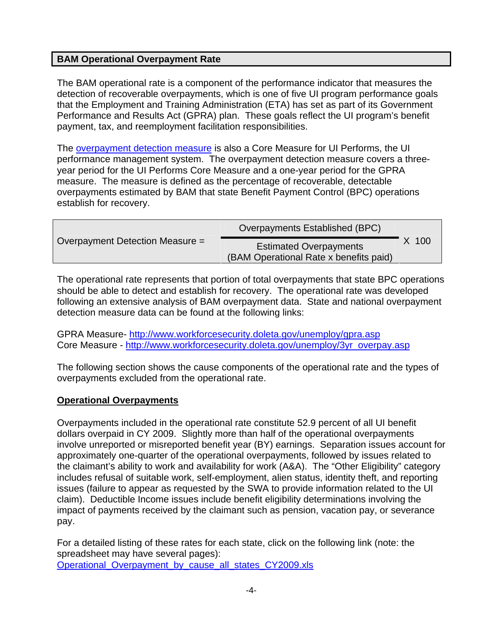### **BAM Operational Overpayment Rate**

The BAM operational rate is a component of the performance indicator that measures the detection of recoverable overpayments, which is one of five UI program performance goals that the Employment and Training Administration (ETA) has set as part of its Government Performance and Results Act (GPRA) plan. These goals reflect the UI program's benefit payment, tax, and reemployment facilitation responsibilities.

The [overpayment detection measure](Detection_of_Overpayments_Core_Measure_and_Computation.pdf) is also a Core Measure for UI Performs, the UI performance management system. The overpayment detection measure covers a threeyear period for the UI Performs Core Measure and a one-year period for the GPRA measure. The measure is defined as the percentage of recoverable, detectable overpayments estimated by BAM that state Benefit Payment Control (BPC) operations establish for recovery.

|                                 | Overpayments Established (BPC)         |  |       |
|---------------------------------|----------------------------------------|--|-------|
| Overpayment Detection Measure = | <b>Estimated Overpayments</b>          |  | X 100 |
|                                 | (BAM Operational Rate x benefits paid) |  |       |

The operational rate represents that portion of total overpayments that state BPC operations should be able to detect and establish for recovery. The operational rate was developed following an extensive analysis of BAM overpayment data. State and national overpayment detection measure data can be found at the following links:

GPRA Measure-<http://www.workforcesecurity.doleta.gov/unemploy/gpra.asp> Core Measure - [http://www.workforcesecurity.doleta.gov/unemploy/3yr\\_overpay.asp](http://www.workforcesecurity.doleta.gov/unemploy/3yr_overpay.asp)

The following section shows the cause components of the operational rate and the types of overpayments excluded from the operational rate.

### **Operational Overpayments**

Overpayments included in the operational rate constitute 52.9 percent of all UI benefit dollars overpaid in CY 2009. Slightly more than half of the operational overpayments involve unreported or misreported benefit year (BY) earnings. Separation issues account for approximately one-quarter of the operational overpayments, followed by issues related to the claimant's ability to work and availability for work (A&A). The "Other Eligibility" category includes refusal of suitable work, self-employment, alien status, identity theft, and reporting issues (failure to appear as requested by the SWA to provide information related to the UI claim). Deductible Income issues include benefit eligibility determinations involving the impact of payments received by the claimant such as pension, vacation pay, or severance pay.

For a detailed listing of these rates for each state, click on the following link (note: the spreadsheet may have several pages): [Operational\\_Overpayment\\_by\\_cause\\_all\\_states\\_CY2009.xls](Operational_Overpayment_by_cause_all_states.xls)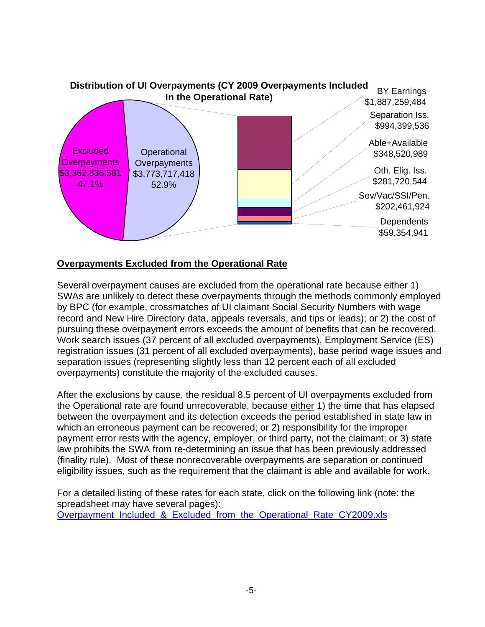

# **Overpayments Excluded from the Operational Rate**

Several overpayment causes are excluded from the operational rate because either 1) SWAs are unlikely to detect these overpayments through the methods commonly employed by BPC (for example, crossmatches of UI claimant Social Security Numbers with wage record and New Hire Directory data, appeals reversals, and tips or leads); or 2) the cost of pursuing these overpayment errors exceeds the amount of benefits that can be recovered. Work search issues (37 percent of all excluded overpayments), Employment Service (ES) registration issues (31 percent of all excluded overpayments), base period wage issues and separation issues (representing slightly less than 12 percent each of all excluded overpayments) constitute the majority of the excluded causes.

After the exclusions by cause, the residual 8.5 percent of UI overpayments excluded from the Operational rate are found unrecoverable, because either 1) the time that has elapsed between the overpayment and its detection exceeds the period established in state law in which an erroneous payment can be recovered; or 2) responsibility for the improper payment error rests with the agency, employer, or third party, not the claimant; or 3) state law prohibits the SWA from re-determining an issue that has been previously addressed (finality rule). Most of these nonrecoverable overpayments are separation or continued eligibility issues, such as the requirement that the claimant is able and available for work.

For a detailed listing of these rates for each state, click on the following link (note: the spreadsheet may have several pages): [Overpayment\\_Included\\_&\\_Excluded\\_from\\_the\\_Operational\\_Rate\\_CY2009.xls](Overpayment_Included_&_Excluded_from_the_Operational_Rate.xls)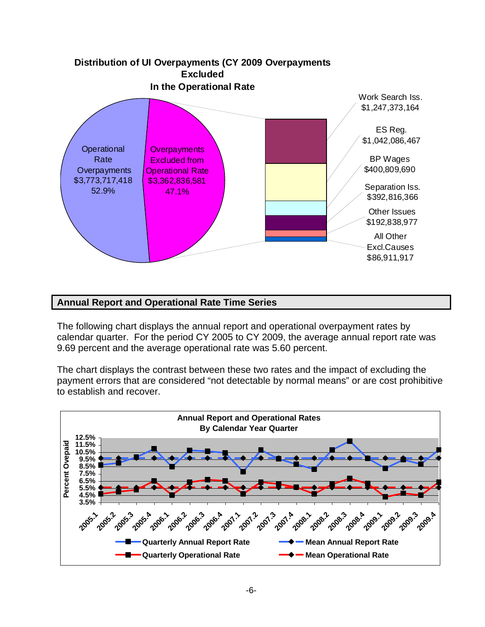

# **Annual Report and Operational Rate Time Series**

The following chart displays the annual report and operational overpayment rates by calendar quarter. For the period CY 2005 to CY 2009, the average annual report rate was 9.69 percent and the average operational rate was 5.60 percent.

The chart displays the contrast between these two rates and the impact of excluding the payment errors that are considered "not detectable by normal means" or are cost prohibitive to establish and recover.

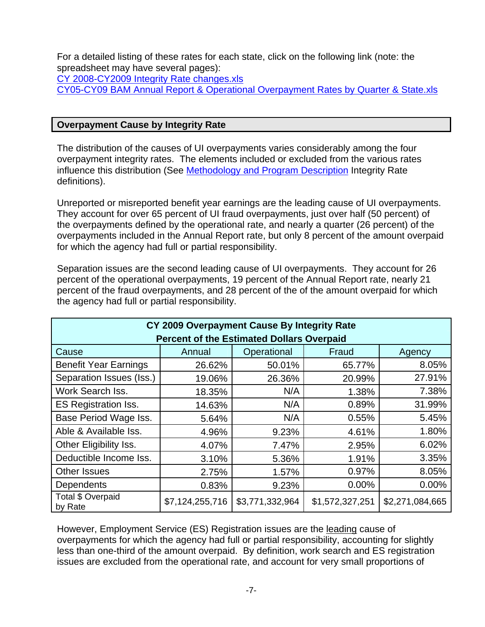For a detailed listing of these rates for each state, click on the following link (note: the spreadsheet may have several pages):

[CY 2008-CY2009 Integrity Rate changes.xls](CY2008-CY2009_RATE_changes.xls)

[CY05-CY09 BAM Annual Report & Operational Overpayment Rates by Quarter & State.xls](CY05-09_BAM_Annual_Report_and_Operational_Overpayment_Rate.xls)

# **Overpayment Cause by Integrity Rate**

The distribution of the causes of UI overpayments varies considerably among the four overpayment integrity rates. The elements included or excluded from the various rates influence this distribution (See [Methodology and Program Description](bam-methodology.pdf) Integrity Rate definitions).

Unreported or misreported benefit year earnings are the leading cause of UI overpayments. They account for over 65 percent of UI fraud overpayments, just over half (50 percent) of the overpayments defined by the operational rate, and nearly a quarter (26 percent) of the overpayments included in the Annual Report rate, but only 8 percent of the amount overpaid for which the agency had full or partial responsibility.

Separation issues are the second leading cause of UI overpayments. They account for 26 percent of the operational overpayments, 19 percent of the Annual Report rate, nearly 21 percent of the fraud overpayments, and 28 percent of the of the amount overpaid for which the agency had full or partial responsibility.

| CY 2009 Overpayment Cause By Integrity Rate<br><b>Percent of the Estimated Dollars Overpaid</b> |                 |                 |                 |                 |  |  |
|-------------------------------------------------------------------------------------------------|-----------------|-----------------|-----------------|-----------------|--|--|
| Cause                                                                                           | Annual          | Operational     | Fraud           | Agency          |  |  |
| <b>Benefit Year Earnings</b>                                                                    | 26.62%          | 50.01%          | 65.77%          | 8.05%           |  |  |
| Separation Issues (Iss.)                                                                        | 19.06%          | 26.36%          | 20.99%          | 27.91%          |  |  |
| Work Search Iss.                                                                                | 18.35%          | N/A             | 1.38%           | 7.38%           |  |  |
| <b>ES Registration Iss.</b>                                                                     | 14.63%          | N/A             | 0.89%           | 31.99%          |  |  |
| Base Period Wage Iss.                                                                           | 5.64%           | N/A             | 0.55%           | 5.45%           |  |  |
| Able & Available Iss.                                                                           | 4.96%           | 9.23%           | 4.61%           | 1.80%           |  |  |
| Other Eligibility Iss.                                                                          | 4.07%           | 7.47%           | 2.95%           | 6.02%           |  |  |
| Deductible Income Iss.                                                                          | 3.10%           | 5.36%           | 1.91%           | 3.35%           |  |  |
| <b>Other Issues</b>                                                                             | 2.75%           | 1.57%           | 0.97%           | 8.05%           |  |  |
| <b>Dependents</b>                                                                               | 0.83%           | 9.23%           | $0.00\%$        | 0.00%           |  |  |
| Total \$ Overpaid<br>by Rate                                                                    | \$7,124,255,716 | \$3,771,332,964 | \$1,572,327,251 | \$2,271,084,665 |  |  |

However, Employment Service (ES) Registration issues are the leading cause of overpayments for which the agency had full or partial responsibility, accounting for slightly less than one-third of the amount overpaid. By definition, work search and ES registration issues are excluded from the operational rate, and account for very small proportions of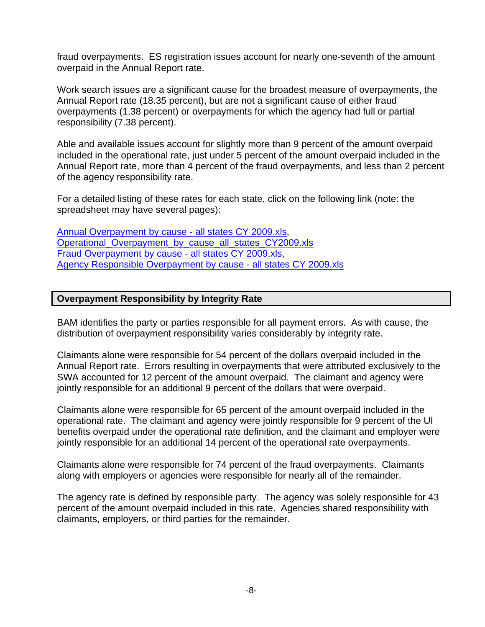fraud overpayments. ES registration issues account for nearly one-seventh of the amount overpaid in the Annual Report rate.

Work search issues are a significant cause for the broadest measure of overpayments, the Annual Report rate (18.35 percent), but are not a significant cause of either fraud overpayments (1.38 percent) or overpayments for which the agency had full or partial responsibility (7.38 percent).

Able and available issues account for slightly more than 9 percent of the amount overpaid included in the operational rate, just under 5 percent of the amount overpaid included in the Annual Report rate, more than 4 percent of the fraud overpayments, and less than 2 percent of the agency responsibility rate.

For a detailed listing of these rates for each state, click on the following link (note: the spreadsheet may have several pages):

[Annual Overpayment by cause - all states CY 2009.xls](Annual_Overpayment_by_cause_all_states.xls), [Operational\\_Overpayment\\_by\\_cause\\_all\\_states\\_CY2009.xls](Operational_Overpayment_by_cause_all_states.xls) [Fraud Overpayment by cause - all states CY 2009.xls](Fraud_Overpayment_by_cause_all_states.xls), [Agency Responsible Overpayment by cause - all states CY 2009.xls](Agency_Responsible_Overpayment_by_cause_all_states.xls)

### **Overpayment Responsibility by Integrity Rate**

BAM identifies the party or parties responsible for all payment errors. As with cause, the distribution of overpayment responsibility varies considerably by integrity rate.

Claimants alone were responsible for 54 percent of the dollars overpaid included in the Annual Report rate. Errors resulting in overpayments that were attributed exclusively to the SWA accounted for 12 percent of the amount overpaid. The claimant and agency were jointly responsible for an additional 9 percent of the dollars that were overpaid.

Claimants alone were responsible for 65 percent of the amount overpaid included in the operational rate. The claimant and agency were jointly responsible for 9 percent of the UI benefits overpaid under the operational rate definition, and the claimant and employer were jointly responsible for an additional 14 percent of the operational rate overpayments.

Claimants alone were responsible for 74 percent of the fraud overpayments. Claimants along with employers or agencies were responsible for nearly all of the remainder.

The agency rate is defined by responsible party. The agency was solely responsible for 43 percent of the amount overpaid included in this rate. Agencies shared responsibility with claimants, employers, or third parties for the remainder.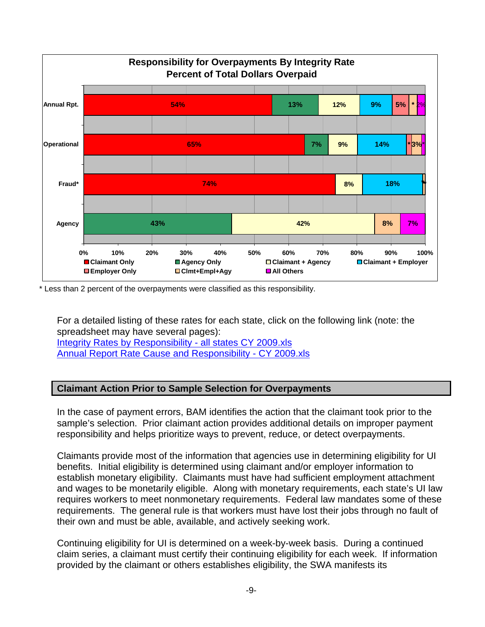

\* Less than 2 percent of the overpayments were classified as this responsibility.

For a detailed listing of these rates for each state, click on the following link (note: the spreadsheet may have several pages): [Integrity Rates by Responsibility - all states CY 2009.xls](Integrity_Rates_by_Responsiblity_all_states.xls) [Annual Report Rate Cause and Responsibility - CY 2009.xls](Annual_Report_Rate_Cause_and_Responsibility-US_Total_CY09.xls)

### **Claimant Action Prior to Sample Selection for Overpayments**

In the case of payment errors, BAM identifies the action that the claimant took prior to the sample's selection. Prior claimant action provides additional details on improper payment responsibility and helps prioritize ways to prevent, reduce, or detect overpayments.

Claimants provide most of the information that agencies use in determining eligibility for UI benefits. Initial eligibility is determined using claimant and/or employer information to establish monetary eligibility. Claimants must have had sufficient employment attachment and wages to be monetarily eligible. Along with monetary requirements, each state's UI law requires workers to meet nonmonetary requirements. Federal law mandates some of these requirements. The general rule is that workers must have lost their jobs through no fault of their own and must be able, available, and actively seeking work.

Continuing eligibility for UI is determined on a week-by-week basis. During a continued claim series, a claimant must certify their continuing eligibility for each week. If information provided by the claimant or others establishes eligibility, the SWA manifests its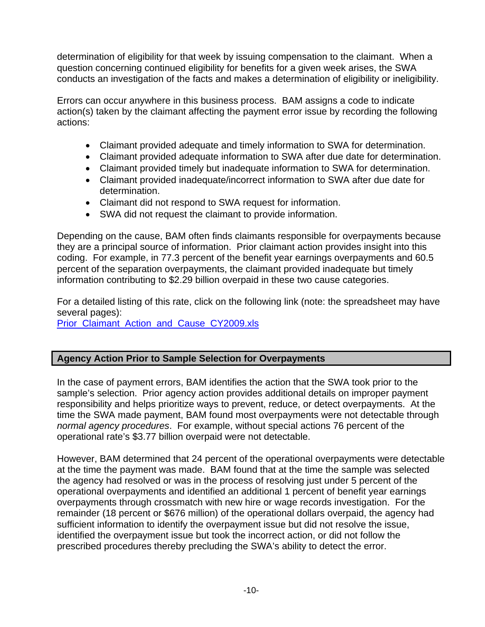determination of eligibility for that week by issuing compensation to the claimant. When a question concerning continued eligibility for benefits for a given week arises, the SWA conducts an investigation of the facts and makes a determination of eligibility or ineligibility.

Errors can occur anywhere in this business process. BAM assigns a code to indicate action(s) taken by the claimant affecting the payment error issue by recording the following actions:

- Claimant provided adequate and timely information to SWA for determination.
- Claimant provided adequate information to SWA after due date for determination.
- Claimant provided timely but inadequate information to SWA for determination.
- Claimant provided inadequate/incorrect information to SWA after due date for determination.
- Claimant did not respond to SWA request for information.
- SWA did not request the claimant to provide information.

Depending on the cause, BAM often finds claimants responsible for overpayments because they are a principal source of information. Prior claimant action provides insight into this coding. For example, in 77.3 percent of the benefit year earnings overpayments and 60.5 percent of the separation overpayments, the claimant provided inadequate but timely information contributing to \$2.29 billion overpaid in these two cause categories.

For a detailed listing of this rate, click on the following link (note: the spreadsheet may have several pages): [Prior\\_Claimant\\_Action\\_and\\_Cause\\_CY2009.xls](Cause_and_Prior_Claimant_Action.xls)

# **Agency Action Prior to Sample Selection for Overpayments**

In the case of payment errors, BAM identifies the action that the SWA took prior to the sample's selection. Prior agency action provides additional details on improper payment responsibility and helps prioritize ways to prevent, reduce, or detect overpayments. At the time the SWA made payment, BAM found most overpayments were not detectable through *normal agency procedures*. For example, without special actions 76 percent of the operational rate's \$3.77 billion overpaid were not detectable.

However, BAM determined that 24 percent of the operational overpayments were detectable at the time the payment was made. BAM found that at the time the sample was selected the agency had resolved or was in the process of resolving just under 5 percent of the operational overpayments and identified an additional 1 percent of benefit year earnings overpayments through crossmatch with new hire or wage records investigation. For the remainder (18 percent or \$676 million) of the operational dollars overpaid, the agency had sufficient information to identify the overpayment issue but did not resolve the issue, identified the overpayment issue but took the incorrect action, or did not follow the prescribed procedures thereby precluding the SWA's ability to detect the error.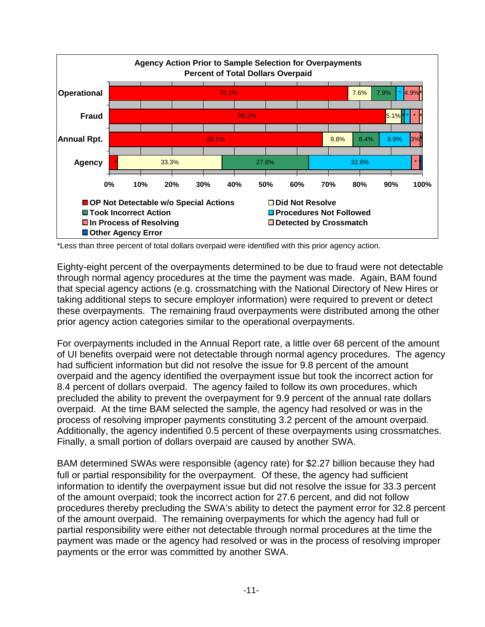

\*Less than three percent of total dollars overpaid were identified with this prior agency action.

Eighty-eight percent of the overpayments determined to be due to fraud were not detectable through normal agency procedures at the time the payment was made. Again, BAM found that special agency actions (e.g. crossmatching with the National Directory of New Hires or taking additional steps to secure employer information) were required to prevent or detect these overpayments. The remaining fraud overpayments were distributed among the other prior agency action categories similar to the operational overpayments.

For overpayments included in the Annual Report rate, a little over 68 percent of the amount of UI benefits overpaid were not detectable through normal agency procedures. The agency had sufficient information but did not resolve the issue for 9.8 percent of the amount overpaid and the agency identified the overpayment issue but took the incorrect action for 8.4 percent of dollars overpaid. The agency failed to follow its own procedures, which precluded the ability to prevent the overpayment for 9.9 percent of the annual rate dollars overpaid. At the time BAM selected the sample, the agency had resolved or was in the process of resolving improper payments constituting 3.2 percent of the amount overpaid. Additionally, the agency indentified 0.5 percent of these overpayments using crossmatches. Finally, a small portion of dollars overpaid are caused by another SWA.

BAM determined SWAs were responsible (agency rate) for \$2.27 billion because they had full or partial responsibility for the overpayment. Of these, the agency had sufficient information to identify the overpayment issue but did not resolve the issue for 33.3 percent of the amount overpaid; took the incorrect action for 27.6 percent, and did not follow procedures thereby precluding the SWA's ability to detect the payment error for 32.8 percent of the amount overpaid. The remaining overpayments for which the agency had full or partial responsibility were either not detectable through normal procedures at the time the payment was made or the agency had resolved or was in the process of resolving improper payments or the error was committed by another SWA.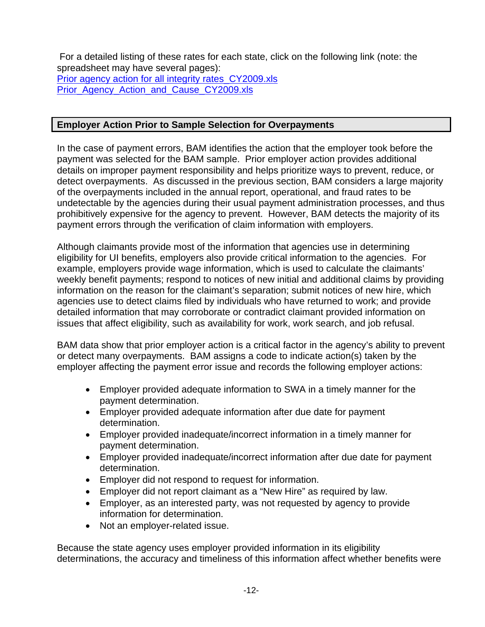For a detailed listing of these rates for each state, click on the following link (note: the spreadsheet may have several pages): [Prior agency action for all integrity rates\\_CY2009.xls](prior_agency_action.xls) [Prior\\_Agency\\_Action\\_and\\_Cause\\_CY2009.xls](Cause_and_Prior_Agency_Action.xls)

## **Employer Action Prior to Sample Selection for Overpayments**

In the case of payment errors, BAM identifies the action that the employer took before the payment was selected for the BAM sample. Prior employer action provides additional details on improper payment responsibility and helps prioritize ways to prevent, reduce, or detect overpayments. As discussed in the previous section, BAM considers a large majority of the overpayments included in the annual report, operational, and fraud rates to be undetectable by the agencies during their usual payment administration processes, and thus prohibitively expensive for the agency to prevent. However, BAM detects the majority of its payment errors through the verification of claim information with employers.

Although claimants provide most of the information that agencies use in determining eligibility for UI benefits, employers also provide critical information to the agencies. For example, employers provide wage information, which is used to calculate the claimants' weekly benefit payments; respond to notices of new initial and additional claims by providing information on the reason for the claimant's separation; submit notices of new hire, which agencies use to detect claims filed by individuals who have returned to work; and provide detailed information that may corroborate or contradict claimant provided information on issues that affect eligibility, such as availability for work, work search, and job refusal.

BAM data show that prior employer action is a critical factor in the agency's ability to prevent or detect many overpayments. BAM assigns a code to indicate action(s) taken by the employer affecting the payment error issue and records the following employer actions:

- Employer provided adequate information to SWA in a timely manner for the payment determination.
- Employer provided adequate information after due date for payment determination.
- Employer provided inadequate/incorrect information in a timely manner for payment determination.
- Employer provided inadequate/incorrect information after due date for payment determination.
- Employer did not respond to request for information.
- Employer did not report claimant as a "New Hire" as required by law.
- Employer, as an interested party, was not requested by agency to provide information for determination.
- Not an employer-related issue.

Because the state agency uses employer provided information in its eligibility determinations, the accuracy and timeliness of this information affect whether benefits were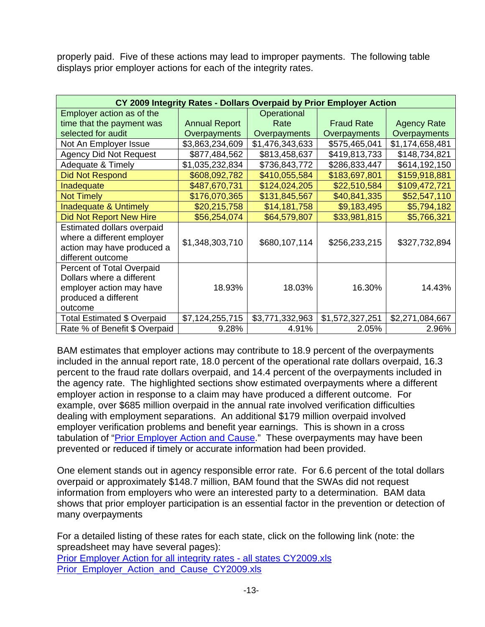properly paid. Five of these actions may lead to improper payments. The following table displays prior employer actions for each of the integrity rates.

| CY 2009 Integrity Rates - Dollars Overpaid by Prior Employer Action                                                   |                      |                 |                   |                    |  |  |
|-----------------------------------------------------------------------------------------------------------------------|----------------------|-----------------|-------------------|--------------------|--|--|
| Employer action as of the                                                                                             |                      | Operational     |                   |                    |  |  |
| time that the payment was                                                                                             | <b>Annual Report</b> | Rate            | <b>Fraud Rate</b> | <b>Agency Rate</b> |  |  |
| selected for audit                                                                                                    | Overpayments         | Overpayments    | Overpayments      | Overpayments       |  |  |
| Not An Employer Issue                                                                                                 | \$3,863,234,609      | \$1,476,343,633 | \$575,465,041     | \$1,174,658,481    |  |  |
| <b>Agency Did Not Request</b>                                                                                         | \$877,484,562        | \$813,458,637   | \$419,813,733     | \$148,734,821      |  |  |
| Adequate & Timely                                                                                                     | \$1,035,232,834      | \$736,843,772   | \$286,833,447     | \$614,192,150      |  |  |
| <b>Did Not Respond</b>                                                                                                | \$608,092,782        | \$410,055,584   | \$183,697,801     | \$159,918,881      |  |  |
| Inadequate                                                                                                            | \$487,670,731        | \$124,024,205   | \$22,510,584      | \$109,472,721      |  |  |
| <b>Not Timely</b>                                                                                                     | \$176,070,365        | \$131,845,567   | \$40,841,335      | \$52,547,110       |  |  |
| <b>Inadequate &amp; Untimely</b>                                                                                      | \$20,215,758         | \$14,181,758    | \$9,183,495       | \$5,794,182        |  |  |
| <b>Did Not Report New Hire</b>                                                                                        | \$56,254,074         | \$64,579,807    | \$33,981,815      | \$5,766,321        |  |  |
| Estimated dollars overpaid<br>where a different employer<br>action may have produced a<br>different outcome           | \$1,348,303,710      | \$680,107,114   | \$256,233,215     | \$327,732,894      |  |  |
| Percent of Total Overpaid<br>Dollars where a different<br>employer action may have<br>produced a different<br>outcome | 18.93%               | 18.03%          | 16.30%            | 14.43%             |  |  |
| <b>Total Estimated \$ Overpaid</b>                                                                                    | \$7,124,255,715      | \$3,771,332,963 | \$1,572,327,251   | \$2,271,084,667    |  |  |
| Rate % of Benefit \$ Overpaid                                                                                         | 9.28%                | 4.91%           | 2.05%             | 2.96%              |  |  |

BAM estimates that employer actions may contribute to 18.9 percent of the overpayments included in the annual report rate, 18.0 percent of the operational rate dollars overpaid, 16.3 percent to the fraud rate dollars overpaid, and 14.4 percent of the overpayments included in the agency rate. The highlighted sections show estimated overpayments where a different employer action in response to a claim may have produced a different outcome. For example, over \$685 million overpaid in the annual rate involved verification difficulties dealing with employment separations. An additional \$179 million overpaid involved employer verification problems and benefit year earnings. This is shown in a cross tabulation of "[Prior Employer Action and Cause](Cause_and_Prior_Employer_Action.xls)." These overpayments may have been prevented or reduced if timely or accurate information had been provided.

One element stands out in agency responsible error rate. For 6.6 percent of the total dollars overpaid or approximately \$148.7 million, BAM found that the SWAs did not request information from employers who were an interested party to a determination. BAM data shows that prior employer participation is an essential factor in the prevention or detection of many overpayments

For a detailed listing of these rates for each state, click on the following link (note: the spreadsheet may have several pages): [Prior Employer Action for all integrity rates - all states CY2009.xls](Prior_Employer_Action_for_all_integrity_rates_all_states.xls) [Prior\\_Employer\\_Action\\_and\\_Cause\\_CY2009.xls](Cause_and_Prior_Employer_Action.xls)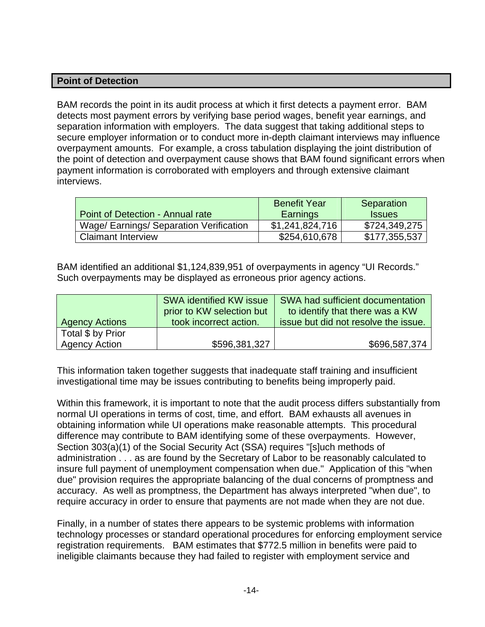## **Point of Detection**

BAM records the point in its audit process at which it first detects a payment error. BAM detects most payment errors by verifying base period wages, benefit year earnings, and separation information with employers. The data suggest that taking additional steps to secure employer information or to conduct more in-depth claimant interviews may influence overpayment amounts. For example, a cross tabulation displaying the joint distribution of the point of detection and overpayment cause shows that BAM found significant errors when payment information is corroborated with employers and through extensive claimant interviews.

|                                         | <b>Benefit Year</b> | Separation    |
|-----------------------------------------|---------------------|---------------|
| Point of Detection - Annual rate        | Earnings            | <b>Issues</b> |
| Wage/ Earnings/ Separation Verification | \$1,241,824,716     | \$724,349,275 |
| <b>Claimant Interview</b>               | \$254,610,678       | \$177,355,537 |

BAM identified an additional \$1,124,839,951 of overpayments in agency "UI Records." Such overpayments may be displayed as erroneous prior agency actions.

|                       | <b>SWA identified KW issue</b><br>prior to KW selection but | SWA had sufficient documentation<br>to identify that there was a KW |
|-----------------------|-------------------------------------------------------------|---------------------------------------------------------------------|
| <b>Agency Actions</b> | took incorrect action.                                      | issue but did not resolve the issue.                                |
| Total \$ by Prior     |                                                             |                                                                     |
| Agency Action         | \$596,381,327                                               | \$696,587,374                                                       |

This information taken together suggests that inadequate staff training and insufficient investigational time may be issues contributing to benefits being improperly paid.

Within this framework, it is important to note that the audit process differs substantially from normal UI operations in terms of cost, time, and effort. BAM exhausts all avenues in obtaining information while UI operations make reasonable attempts. This procedural difference may contribute to BAM identifying some of these overpayments. However, Section 303(a)(1) of the Social Security Act (SSA) requires "[s]uch methods of administration . . . as are found by the Secretary of Labor to be reasonably calculated to insure full payment of unemployment compensation when due." Application of this "when due" provision requires the appropriate balancing of the dual concerns of promptness and accuracy. As well as promptness, the Department has always interpreted "when due", to require accuracy in order to ensure that payments are not made when they are not due.

Finally, in a number of states there appears to be systemic problems with information technology processes or standard operational procedures for enforcing employment service registration requirements. BAM estimates that \$772.5 million in benefits were paid to ineligible claimants because they had failed to register with employment service and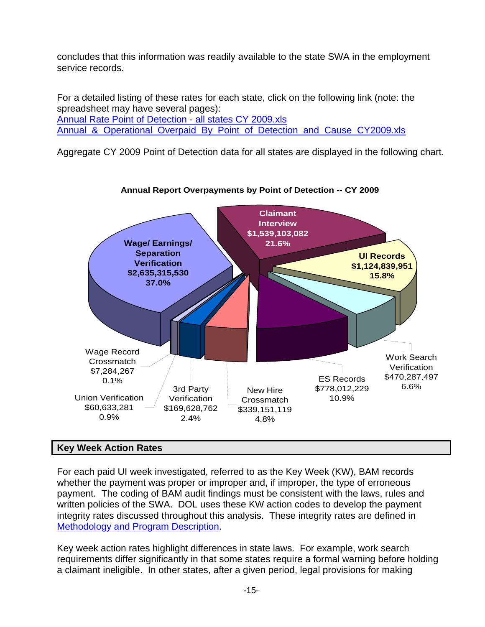concludes that this information was readily available to the state SWA in the employment service records.

For a detailed listing of these rates for each state, click on the following link (note: the spreadsheet may have several pages): [Annual Rate Point of Detection - all states CY 2009.xls](Annual_Overpayments_by_Point_of_Detection_all_states_CY09.xls) Annual & Operational Overpaid By Point of Detection and Cause CY2009.xls

Aggregate CY 2009 Point of Detection data for all states are displayed in the following chart.



### **Annual Report Overpayments by Point of Detection -- CY 2009**

# **Key Week Action Rates**

For each paid UI week investigated, referred to as the Key Week (KW), BAM records whether the payment was proper or improper and, if improper, the type of erroneous payment. The coding of BAM audit findings must be consistent with the laws, rules and written policies of the SWA. DOL uses these KW action codes to develop the payment integrity rates discussed throughout this analysis. These integrity rates are defined in [Methodology and Program Description.](bam-methodology.pdf)

Key week action rates highlight differences in state laws. For example, work search requirements differ significantly in that some states require a formal warning before holding a claimant ineligible. In other states, after a given period, legal provisions for making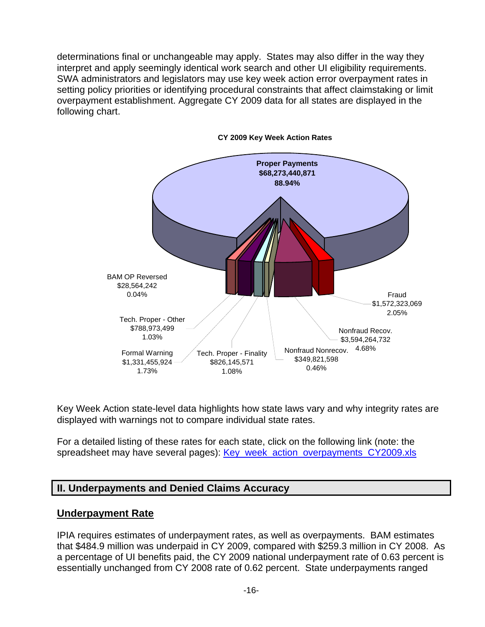determinations final or unchangeable may apply. States may also differ in the way they interpret and apply seemingly identical work search and other UI eligibility requirements. SWA administrators and legislators may use key week action error overpayment rates in setting policy priorities or identifying procedural constraints that affect claimstaking or limit overpayment establishment. Aggregate CY 2009 data for all states are displayed in the following chart.



**CY 2009 Key Week Action Rates**

Key Week Action state-level data highlights how state laws vary and why integrity rates are displayed with warnings not to compare individual state rates.

For a detailed listing of these rates for each state, click on the following link (note: the spreadsheet may have several pages): [Key\\_week\\_action\\_overpayments\\_CY2009.xls](key_week_action_overpayments.xls)

# **II. Underpayments and Denied Claims Accuracy**

### **Underpayment Rate**

IPIA requires estimates of underpayment rates, as well as overpayments. BAM estimates that \$484.9 million was underpaid in CY 2009, compared with \$259.3 million in CY 2008. As a percentage of UI benefits paid, the CY 2009 national underpayment rate of 0.63 percent is essentially unchanged from CY 2008 rate of 0.62 percent. State underpayments ranged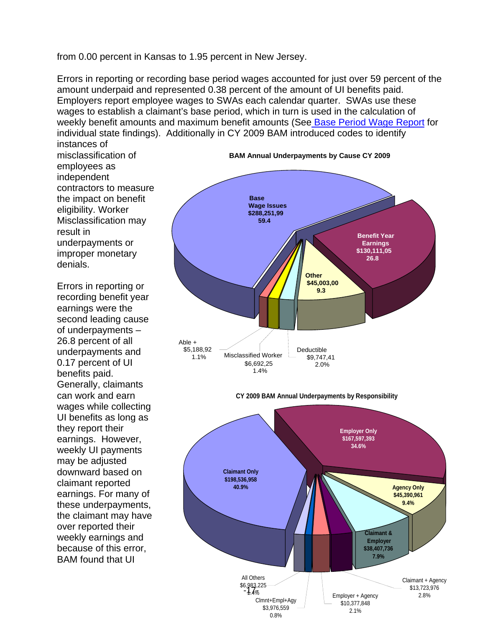from 0.00 percent in Kansas to 1.95 percent in New Jersey.

Errors in reporting or recording base period wages accounted for just over 59 percent of the amount underpaid and represented 0.38 percent of the amount of UI benefits paid. Employers report employee wages to SWAs each calendar quarter. SWAs use these wages to establish a claimant's base period, which in turn is used in the calculation of weekly benefit amounts and maximum benefit amounts (Se[e Base Period Wage Report](BASE_PERIOD_WAGES_REPORT_CY_2009.xls) for individual state findings). Additionally in CY 2009 BAM introduced codes to identify instances of

misclassification of employees as independent contractors to measure the impact on benefit eligibility. Worker Misclassification may result in underpayments or improper monetary denials.

**Errors in reporting or** recording benefit year earnings were the second leading cause of underpayments – 26.8 percent of all underpayments and 0.17 percent of UI benefits paid. Generally, claimants can work and earn wages while collecting UI benefits as long as they report their earnings. However, weekly UI payments may be adjusted downward based on claimant reported earnings. For many of these underpayments, the claimant may have over reported their weekly earnings and because of this error, BAM found that UI

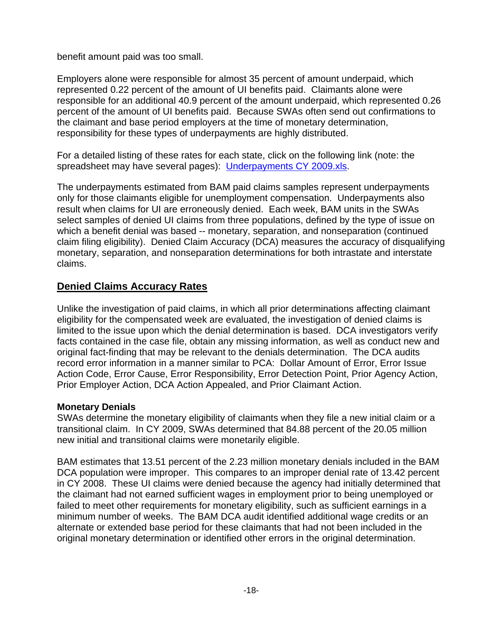benefit amount paid was too small.

Employers alone were responsible for almost 35 percent of amount underpaid, which represented 0.22 percent of the amount of UI benefits paid. Claimants alone were responsible for an additional 40.9 percent of the amount underpaid, which represented 0.26 percent of the amount of UI benefits paid. Because SWAs often send out confirmations to the claimant and base period employers at the time of monetary determination, responsibility for these types of underpayments are highly distributed.

For a detailed listing of these rates for each state, click on the following link (note: the spreadsheet may have several pages): [Underpayments CY 2009.xls](Underpayments_CY_2009.xls).

The underpayments estimated from BAM paid claims samples represent underpayments only for those claimants eligible for unemployment compensation. Underpayments also result when claims for UI are erroneously denied. Each week, BAM units in the SWAs select samples of denied UI claims from three populations, defined by the type of issue on which a benefit denial was based -- monetary, separation, and nonseparation (continued claim filing eligibility). Denied Claim Accuracy (DCA) measures the accuracy of disqualifying monetary, separation, and nonseparation determinations for both intrastate and interstate claims.

# **Denied Claims Accuracy Rates**

Unlike the investigation of paid claims, in which all prior determinations affecting claimant eligibility for the compensated week are evaluated, the investigation of denied claims is limited to the issue upon which the denial determination is based. DCA investigators verify facts contained in the case file, obtain any missing information, as well as conduct new and original fact-finding that may be relevant to the denials determination. The DCA audits record error information in a manner similar to PCA: Dollar Amount of Error, Error Issue Action Code, Error Cause, Error Responsibility, Error Detection Point, Prior Agency Action, Prior Employer Action, DCA Action Appealed, and Prior Claimant Action.

### **Monetary Denials**

SWAs determine the monetary eligibility of claimants when they file a new initial claim or a transitional claim. In CY 2009, SWAs determined that 84.88 percent of the 20.05 million new initial and transitional claims were monetarily eligible.

BAM estimates that 13.51 percent of the 2.23 million monetary denials included in the BAM DCA population were improper. This compares to an improper denial rate of 13.42 percent in CY 2008. These UI claims were denied because the agency had initially determined that the claimant had not earned sufficient wages in employment prior to being unemployed or failed to meet other requirements for monetary eligibility, such as sufficient earnings in a minimum number of weeks. The BAM DCA audit identified additional wage credits or an alternate or extended base period for these claimants that had not been included in the original monetary determination or identified other errors in the original determination.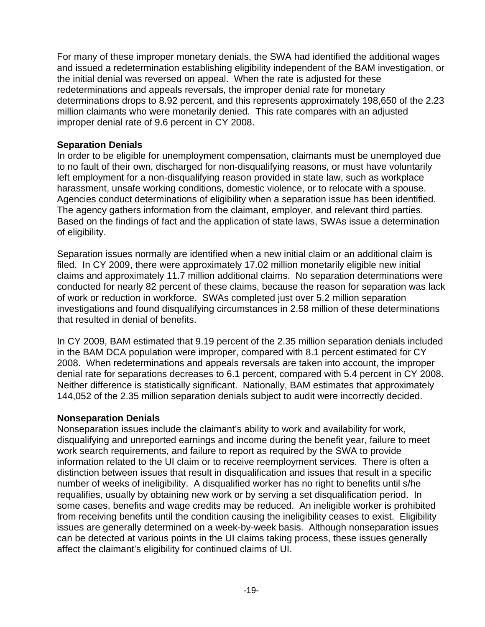For many of these improper monetary denials, the SWA had identified the additional wages and issued a redetermination establishing eligibility independent of the BAM investigation, or the initial denial was reversed on appeal. When the rate is adjusted for these redeterminations and appeals reversals, the improper denial rate for monetary determinations drops to 8.92 percent, and this represents approximately 198,650 of the 2.23 million claimants who were monetarily denied. This rate compares with an adjusted improper denial rate of 9.6 percent in CY 2008.

## **Separation Denials**

In order to be eligible for unemployment compensation, claimants must be unemployed due to no fault of their own, discharged for non-disqualifying reasons, or must have voluntarily left employment for a non-disqualifying reason provided in state law, such as workplace harassment, unsafe working conditions, domestic violence, or to relocate with a spouse. Agencies conduct determinations of eligibility when a separation issue has been identified. The agency gathers information from the claimant, employer, and relevant third parties. Based on the findings of fact and the application of state laws, SWAs issue a determination of eligibility.

Separation issues normally are identified when a new initial claim or an additional claim is filed. In CY 2009, there were approximately 17.02 million monetarily eligible new initial claims and approximately 11.7 million additional claims. No separation determinations were conducted for nearly 82 percent of these claims, because the reason for separation was lack of work or reduction in workforce. SWAs completed just over 5.2 million separation investigations and found disqualifying circumstances in 2.58 million of these determinations that resulted in denial of benefits.

In CY 2009, BAM estimated that 9.19 percent of the 2.35 million separation denials included in the BAM DCA population were improper, compared with 8.1 percent estimated for CY 2008. When redeterminations and appeals reversals are taken into account, the improper denial rate for separations decreases to 6.1 percent, compared with 5.4 percent in CY 2008. Neither difference is statistically significant. Nationally, BAM estimates that approximately 144,052 of the 2.35 million separation denials subject to audit were incorrectly decided.

### **Nonseparation Denials**

Nonseparation issues include the claimant's ability to work and availability for work, disqualifying and unreported earnings and income during the benefit year, failure to meet work search requirements, and failure to report as required by the SWA to provide information related to the UI claim or to receive reemployment services. There is often a distinction between issues that result in disqualification and issues that result in a specific number of weeks of ineligibility. A disqualified worker has no right to benefits until s/he requalifies, usually by obtaining new work or by serving a set disqualification period. In some cases, benefits and wage credits may be reduced. An ineligible worker is prohibited from receiving benefits until the condition causing the ineligibility ceases to exist. Eligibility issues are generally determined on a week-by-week basis. Although nonseparation issues can be detected at various points in the UI claims taking process, these issues generally affect the claimant's eligibility for continued claims of UI.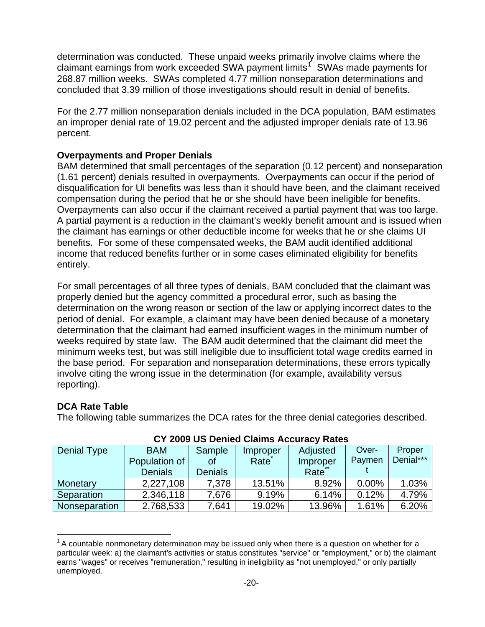determination was conducted. These unpaid weeks primarily involve claims where the claimant earnings from work exceeded SWA payment limits<sup>1</sup> SWAs made payments for 268.87 million weeks. SWAs completed 4.77 million nonseparation determinations and concluded that 3.39 million of those investigations should r[es](#page-19-0)ult in denial of benefits.

For the 2.77 million nonseparation denials included in the DCA population, BAM estimates an improper denial rate of 19.02 percent and the adjusted improper denials rate of 13.96 percent.

# **Overpayments and Proper Denials**

BAM determined that small percentages of the separation (0.12 percent) and nonseparation (1.61 percent) denials resulted in overpayments. Overpayments can occur if the period of disqualification for UI benefits was less than it should have been, and the claimant received compensation during the period that he or she should have been ineligible for benefits. Overpayments can also occur if the claimant received a partial payment that was too large. A partial payment is a reduction in the claimant's weekly benefit amount and is issued when the claimant has earnings or other deductible income for weeks that he or she claims UI benefits. For some of these compensated weeks, the BAM audit identified additional income that reduced benefits further or in some cases eliminated eligibility for benefits entirely.

For small percentages of all three types of denials, BAM concluded that the claimant was properly denied but the agency committed a procedural error, such as basing the determination on the wrong reason or section of the law or applying incorrect dates to the period of denial. For example, a claimant may have been denied because of a monetary determination that the claimant had earned insufficient wages in the minimum number of weeks required by state law. The BAM audit determined that the claimant did meet the minimum weeks test, but was still ineligible due to insufficient total wage credits earned in the base period. For separation and nonseparation determinations, these errors typically involve citing the wrong issue in the determination (for example, availability versus reporting).

### **DCA Rate Table**

i<br>S

The following table summarizes the DCA rates for the three denial categories described.

| <u>o i lovo oo boniya gidhiig xwanayfi wayo</u> |                |                |          |          |          |           |
|-------------------------------------------------|----------------|----------------|----------|----------|----------|-----------|
| Denial Type                                     | <b>BAM</b>     | Sample         | Improper | Adjusted | Over-    | Proper    |
|                                                 | Population of  | Οt             | Rate     | Improper | Paymen   | Denial*** |
|                                                 | <b>Denials</b> | <b>Denials</b> |          | Rate     |          |           |
| <b>Monetary</b>                                 | 2,227,108      | 7.378          | 13.51%   | 8.92%    | $0.00\%$ | 1.03%     |
| Separation                                      | 2,346,118      | 7,676          | 9.19%    | 6.14%    | 0.12%    | 4.79%     |
| Nonseparation                                   | 2,768,533      | 7.641          | 19.02%   | 13.96%   | 1.61%    | 6.20%     |

# **CY 2009 US Denied Claims Accuracy Rates**

<span id="page-19-0"></span> $1$  A countable nonmonetary determination may be issued only when there is a question on whether for a particular week: a) the claimant's activities or status constitutes "service" or "employment," or b) the claimant earns "wages" or receives "remuneration," resulting in ineligibility as "not unemployed," or only partially unemployed.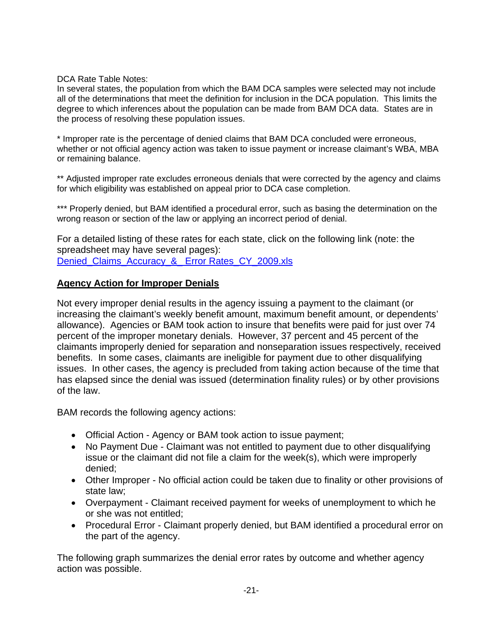### DCA Rate Table Notes:

In several states, the population from which the BAM DCA samples were selected may not include all of the determinations that meet the definition for inclusion in the DCA population. This limits the degree to which inferences about the population can be made from BAM DCA data. States are in the process of resolving these population issues.

\* Improper rate is the percentage of denied claims that BAM DCA concluded were erroneous, whether or not official agency action was taken to issue payment or increase claimant's WBA, MBA or remaining balance.

\*\* Adjusted improper rate excludes erroneous denials that were corrected by the agency and claims for which eligibility was established on appeal prior to DCA case completion.

\*\*\* Properly denied, but BAM identified a procedural error, such as basing the determination on the wrong reason or section of the law or applying an incorrect period of denial.

For a detailed listing of these rates for each state, click on the following link (note: the spreadsheet may have several pages): Denied Claims Accuracy & Error Rates CY 2009.xls

### **Agency Action for Improper Denials**

Not every improper denial results in the agency issuing a payment to the claimant (or increasing the claimant's weekly benefit amount, maximum benefit amount, or dependents' allowance). Agencies or BAM took action to insure that benefits were paid for just over 74 percent of the improper monetary denials. However, 37 percent and 45 percent of the claimants improperly denied for separation and nonseparation issues respectively, received benefits. In some cases, claimants are ineligible for payment due to other disqualifying issues. In other cases, the agency is precluded from taking action because of the time that has elapsed since the denial was issued (determination finality rules) or by other provisions of the law.

BAM records the following agency actions:

- Official Action Agency or BAM took action to issue payment;
- No Payment Due Claimant was not entitled to payment due to other disqualifying issue or the claimant did not file a claim for the week(s), which were improperly denied;
- Other Improper No official action could be taken due to finality or other provisions of state law;
- Overpayment Claimant received payment for weeks of unemployment to which he or she was not entitled;
- Procedural Error Claimant properly denied, but BAM identified a procedural error on the part of the agency.

The following graph summarizes the denial error rates by outcome and whether agency action was possible.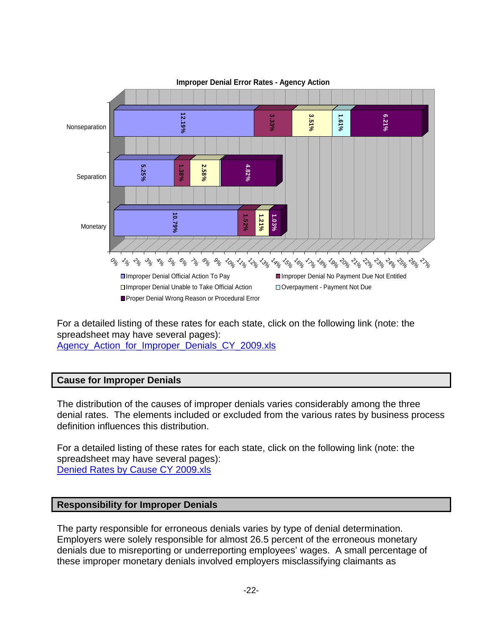

For a detailed listing of these rates for each state, click on the following link (note: the spreadsheet may have several pages):

Agency Action for Improper Denials CY 2009.xls

# **Cause for Improper Denials**

The distribution of the causes of improper denials varies considerably among the three denial rates. The elements included or excluded from the various rates by business process definition influences this distribution.

For a detailed listing of these rates for each state, click on the following link (note: the spreadsheet may have several pages): [Denied Rates by Cause CY 2009.xls](Denied_Rates_by_Cause_CY_2009.xls)

# **Responsibility for Improper Denials**

The party responsible for erroneous denials varies by type of denial determination. Employers were solely responsible for almost 26.5 percent of the erroneous monetary denials due to misreporting or underreporting employees' wages. A small percentage of these improper monetary denials involved employers misclassifying claimants as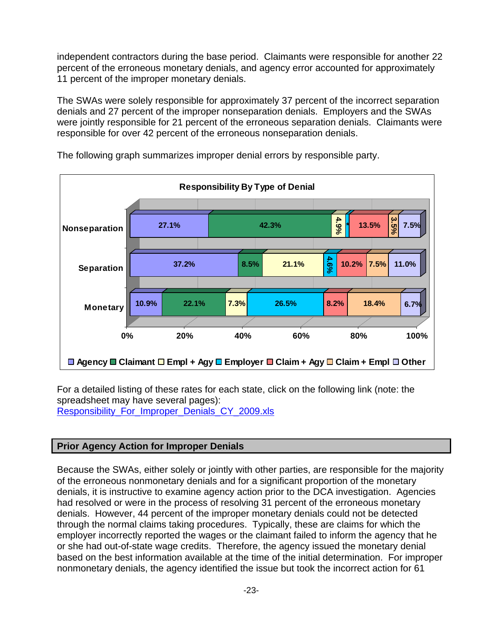independent contractors during the base period. Claimants were responsible for another 22 percent of the erroneous monetary denials, and agency error accounted for approximately 11 percent of the improper monetary denials.

The SWAs were solely responsible for approximately 37 percent of the incorrect separation denials and 27 percent of the improper nonseparation denials. Employers and the SWAs were jointly responsible for 21 percent of the erroneous separation denials. Claimants were responsible for over 42 percent of the erroneous nonseparation denials.



The following graph summarizes improper denial errors by responsible party.

For a detailed listing of these rates for each state, click on the following link (note: the spreadsheet may have several pages): [Responsibility\\_For\\_Improper\\_Denials\\_CY\\_2009.xls](Responsibility_For_Improper_Denials_CY_2009.xls)

# **Prior Agency Action for Improper Denials**

Because the SWAs, either solely or jointly with other parties, are responsible for the majority of the erroneous nonmonetary denials and for a significant proportion of the monetary denials, it is instructive to examine agency action prior to the DCA investigation. Agencies had resolved or were in the process of resolving 31 percent of the erroneous monetary denials. However, 44 percent of the improper monetary denials could not be detected through the normal claims taking procedures. Typically, these are claims for which the employer incorrectly reported the wages or the claimant failed to inform the agency that he or she had out-of-state wage credits. Therefore, the agency issued the monetary denial based on the best information available at the time of the initial determination. For improper nonmonetary denials, the agency identified the issue but took the incorrect action for 61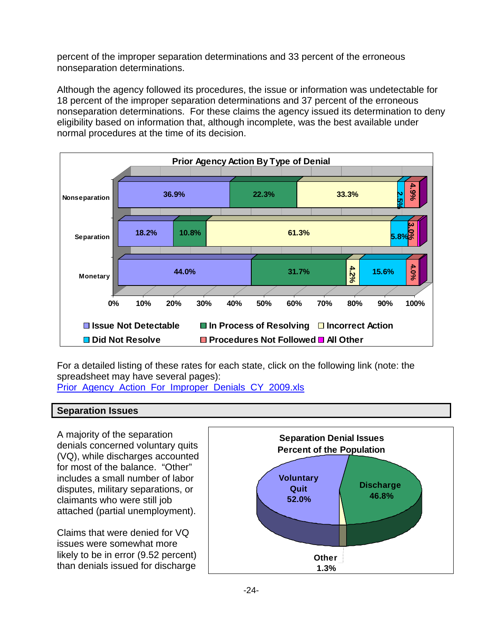percent of the improper separation determinations and 33 percent of the erroneous nonseparation determinations.

Although the agency followed its procedures, the issue or information was undetectable for 18 percent of the improper separation determinations and 37 percent of the erroneous nonseparation determinations. For these claims the agency issued its determination to deny eligibility based on information that, although incomplete, was the best available under normal procedures at the time of its decision.



For a detailed listing of these rates for each state, click on the following link (note: the spreadsheet may have several pages): Prior Agency Action For Improper Denials CY 2009.xls

### **Separation Issues**

A majority of the separation denials concerned voluntary quits (VQ), while discharges accounted for most of the balance. "Other" includes a small number of labor disputes, military separations, or claimants who were still job attached (partial unemployment).

Claims that were denied for VQ issues were somewhat more likely to be in error (9.52 percent) than denials issued for discharge

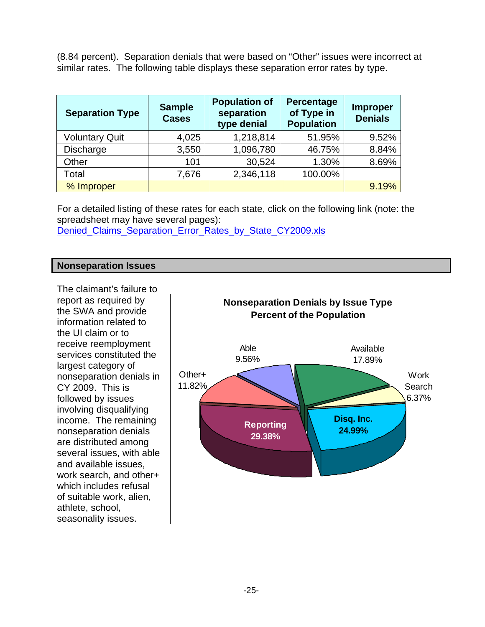(8.84 percent). Separation denials that were based on "Other" issues were incorrect at similar rates. The following table displays these separation error rates by type.

| <b>Separation Type</b> | <b>Sample</b><br><b>Cases</b> | <b>Population of</b><br>separation<br>type denial | Percentage<br>of Type in<br><b>Population</b> | <b>Improper</b><br><b>Denials</b> |
|------------------------|-------------------------------|---------------------------------------------------|-----------------------------------------------|-----------------------------------|
| <b>Voluntary Quit</b>  | 4,025                         | 1,218,814                                         | 51.95%                                        | 9.52%                             |
| <b>Discharge</b>       | 3,550                         | 1,096,780                                         | 46.75%                                        | 8.84%                             |
| Other                  | 101                           | 30,524                                            | 1.30%                                         | 8.69%                             |
| Total                  | 7,676                         | 2,346,118                                         | 100.00%                                       |                                   |
| % Improper             |                               |                                                   |                                               | 9.19%                             |

For a detailed listing of these rates for each state, click on the following link (note: the spreadsheet may have several pages): [Denied\\_Claims\\_Separation\\_Error\\_Rates\\_by\\_State\\_CY2009.xls](Denied_Claims_Separation_Error_Rates_by_State.xls)

#### **Nonseparation Issues**

The claimant's failure to report as required by the SWA and provi de information related to the UI claim or to receive reemployment services constituted the largest category of nonseparation denials in CY 2009. This is followed by issues involving disqualifying income. The remaining nonseparation denials are distributed among several issues, with able and available issues, work search, and other+ which includes refusal of suitable work, alien , athlete, school, seasonality issues.

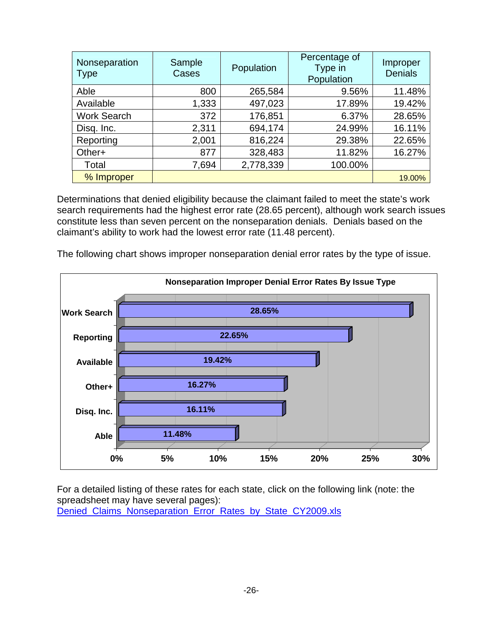| Nonseparation<br><b>Type</b> | Sample<br>Cases | Population | Percentage of<br>Type in<br>Population | Improper<br><b>Denials</b> |
|------------------------------|-----------------|------------|----------------------------------------|----------------------------|
| Able                         | 800             | 265,584    | 9.56%                                  | 11.48%                     |
| Available                    | 1,333           | 497,023    | 17.89%                                 | 19.42%                     |
| <b>Work Search</b>           | 372             | 176,851    | 6.37%                                  | 28.65%                     |
| Disq. Inc.                   | 2,311           | 694,174    | 24.99%                                 | 16.11%                     |
| Reporting                    | 2,001           | 816,224    | 29.38%                                 | 22.65%                     |
| Other+                       | 877             | 328,483    | 11.82%                                 | 16.27%                     |
| Total                        | 7,694           | 2,778,339  | 100.00%                                |                            |
| % Improper                   |                 |            |                                        | 19.00%                     |

Determinations that denied eligibility because the claimant failed to meet the state's work search requirements had the highest error rate (28.65 percent), although work search issues constitute less than seven percent on the nonseparation denials. Denials based on the claimant's ability to work had the lowest error rate (11.48 percent).



The following chart shows improper nonseparation denial error rates by the type of issue.

For a detailed listing of these rates for each state, click on the following link (note: the spreadsheet may have several pages): [Denied\\_Claims\\_Nonseparation\\_Error\\_Rates\\_by\\_State\\_CY2009.xls](Denied_Claims_Nonseparation_Error_Rates_by_State.xls)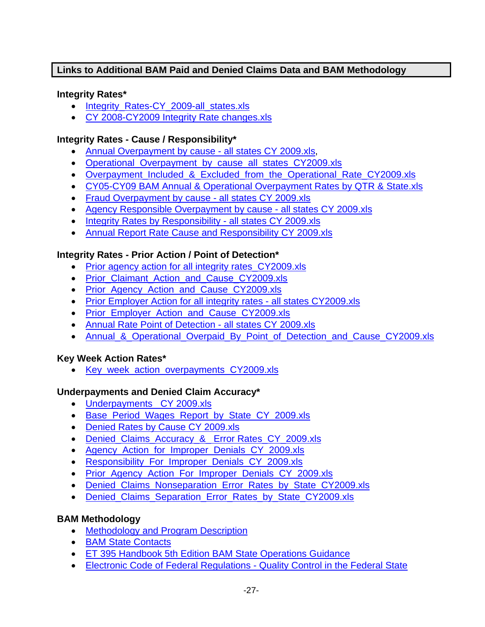# **Links to Additional BAM Paid and Denied Claims Data and BAM Methodology**

### **Integrity Rates\***

- Integrity Rates-CY 2009-all states.xls
- [CY 2008-CY2009 Integrity Rate changes.xls](CY2008-CY2009_RATE_changes.xls)

## **Integrity Rates - Cause / Responsibility\***

- [Annual Overpayment by cause all states CY 2009.xls](Annual_Overpayment_by_cause_all_states.xls),
- Operational Overpayment by cause all states CY2009.xls
- Overpayment Included & Excluded from the Operational Rate CY2009.xls
- [CY05-CY09 BAM Annual & Operational Overpayment Rates by QTR & State.xls](CY05-09_BAM_Annual_Report_and_Operational_Overpayment_Rate.xls)
- [Fraud Overpayment by cause all states CY 2009.xls](Fraud_Overpayment_by_cause_all_states.xls)
- [Agency Responsible Overpayment by cause all states CY 2009.xls](Agency_Responsible_Overpayment_by_cause_all_states.xls)
- [Integrity Rates by Responsibility all states CY 2009.xls](Integrity_Rates_by_Responsiblity_all_states.xls)
- [Annual Report Rate Cause and Responsibility CY 2009.xls](Annual_Report_Rate_Cause_and_Responsibility-US_Total_CY09.xls)

### **Integrity Rates - Prior Action / Point of Detection\***

- Prior agency action for all integrity rates CY2009.xls
- Prior Claimant Action and Cause CY2009.xls
- Prior Agency Action and Cause CY2009.xls
- [Prior Employer Action for all integrity rates all states CY2009.xls](Prior_Employer_Action_for_all_integrity_rates_all_states.xls)
- [Prior\\_Employer\\_Action\\_and\\_Cause\\_CY2009.xls](Cause_and_Prior_Employer_Action.xls)
- [Annual Rate Point of Detection all states CY 2009.xls](Annual_Overpayments_by_Point_of_Detection_all_states_CY09.xls)
- Annual & Operational Overpaid By Point of Detection and Cause CY2009.xls

# **Key Week Action Rates\***

[Key\\_week\\_action\\_overpayments\\_CY2009.xls](key_week_action_overpayments.xls)

# **Underpayments and Denied Claim Accuracy\***

- Underpayments CY 2009.xls
- Base Period Wages Report by State CY 2009.xls
- [Denied Rates by Cause CY 2009.xls](Denied_Rates_by_Cause_CY_2009.xls)
- [Denied\\_Claims\\_Accuracy\\_&\\_ Error Rates\\_CY\\_2009.xls](Denied_Claims_Accuracy_Rates_CY_2009.xls)
- Agency Action for Improper Denials CY 2009.xls
- Responsibility For Improper Denials CY 2009.xls
- Prior Agency Action For Improper Denials CY 2009.xls
- [Denied\\_Claims\\_Nonseparation\\_Error\\_Rates\\_by\\_State\\_CY2009.xls](Denied_Claims_Nonseparation_Error_Rates_by_State.xls)
- Denied Claims Separation Error Rates by State CY2009.xls

# **BAM Methodology**

- [Methodology and Program Description](bam-methodology.pdf)
- **[BAM State Contacts](State_Contacts_CY_2009.xls)**
- [ET 395 Handbook 5th Edition BAM State Operations Guidance](http://wdr.doleta.gov/directives/attach/ETHandbook_395_Ch5_acc.pdf)
- [Electronic Code of Federal Regulations Quality Control in the Federal State](http://ecfr.gpoaccess.gov/cgi/t/text/text-idx?c=ecfr&%3c?SID%3e&rgn=div5&view=text&node=20:3.0.2.1.2&idno=20)